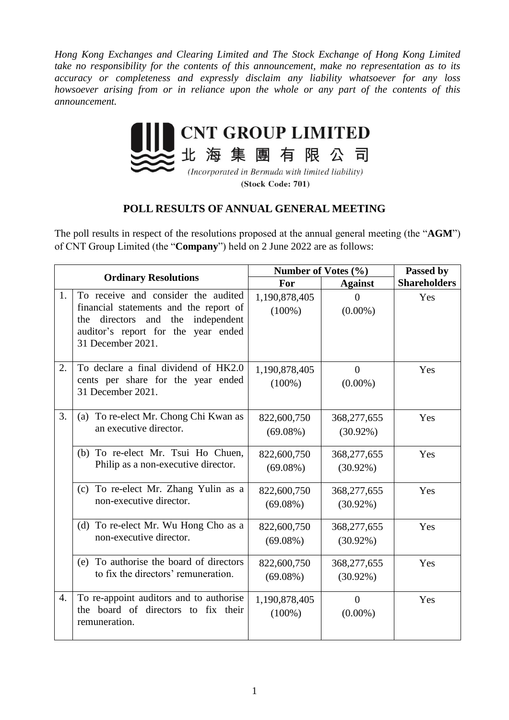*Hong Kong Exchanges and Clearing Limited and The Stock Exchange of Hong Kong Limited take no responsibility for the contents of this announcement, make no representation as to its accuracy or completeness and expressly disclaim any liability whatsoever for any loss howsoever arising from or in reliance upon the whole or any part of the contents of this announcement.*



(Incorporated in Bermuda with limited liability) (Stock Code: 701)

## **POLL RESULTS OF ANNUAL GENERAL MEETING**

The poll results in respect of the resolutions proposed at the annual general meeting (the "**AGM**") of CNT Group Limited (the "**Company**") held on 2 June 2022 are as follows:

| <b>Ordinary Resolutions</b> |                                                                                                                                                                                            | Number of Votes (%)        |                              | Passed by           |
|-----------------------------|--------------------------------------------------------------------------------------------------------------------------------------------------------------------------------------------|----------------------------|------------------------------|---------------------|
|                             |                                                                                                                                                                                            | For                        | <b>Against</b>               | <b>Shareholders</b> |
| 1.                          | To receive and consider the audited<br>financial statements and the report of<br>directors<br>and<br>the<br>independent<br>the<br>auditor's report for the year ended<br>31 December 2021. | 1,190,878,405<br>$(100\%)$ | $\theta$<br>$(0.00\%)$       | Yes                 |
| 2.                          | To declare a final dividend of HK2.0<br>cents per share for the year ended<br>31 December 2021.                                                                                            | 1,190,878,405<br>$(100\%)$ | $\overline{0}$<br>$(0.00\%)$ | Yes                 |
| 3.                          | (a) To re-elect Mr. Chong Chi Kwan as<br>an executive director.                                                                                                                            | 822,600,750<br>$(69.08\%)$ | 368,277,655<br>$(30.92\%)$   | Yes                 |
|                             | (b) To re-elect Mr. Tsui Ho Chuen,<br>Philip as a non-executive director.                                                                                                                  | 822,600,750<br>$(69.08\%)$ | 368,277,655<br>$(30.92\%)$   | Yes                 |
|                             | (c) To re-elect Mr. Zhang Yulin as a<br>non-executive director.                                                                                                                            | 822,600,750<br>$(69.08\%)$ | 368,277,655<br>$(30.92\%)$   | Yes                 |
|                             | (d) To re-elect Mr. Wu Hong Cho as a<br>non-executive director.                                                                                                                            | 822,600,750<br>$(69.08\%)$ | 368,277,655<br>$(30.92\%)$   | Yes                 |
|                             | (e) To authorise the board of directors<br>to fix the directors' remuneration.                                                                                                             | 822,600,750<br>$(69.08\%)$ | 368,277,655<br>$(30.92\%)$   | Yes                 |
| 4.                          | To re-appoint auditors and to authorise<br>the board of directors to fix their<br>remuneration.                                                                                            | 1,190,878,405<br>$(100\%)$ | $\overline{0}$<br>$(0.00\%)$ | Yes                 |